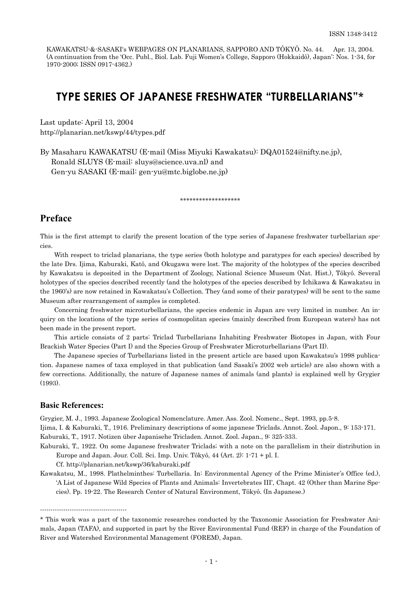KAWAKATSU-&-SASAKI's WEBPAGES ON PLANARIANS, SAPPORO AND TÔKYÔ. No. 44. Apr. 13, 2004. (A continuation from the 'Occ. Publ., Biol. Lab. Fuji Women's College, Sapporo (Hokkaidô), Japan': Nos. 1-34, for 1970-2000; ISSN 0917-4362.)

# **TYPE SERIES OF JAPANESE FRESHWATER "TURBELLARIANS"**\*

Last update: April 13, 2004 http://planarian.net/kswp/44/types.pdf

By Masaharu KAWAKATSU (E-mail (Miss Miyuki Kawakatsu): DQA01524@nifty.ne.jp), Ronald SLUYS (E-mail: sluys@science.uva.nl) and Gen-yu SASAKI (E-mail: gen-yu@mtc.biglobe.ne.jp)

\*\*\*\*\*\*\*\*\*\*\*\*\*\*\*\*\*\*\*

## **Preface**

This is the first attempt to clarify the present location of the type series of Japanese freshwater turbellarian species.

With respect to triclad planarians, the type series (both holotype and paratypes for each species) described by the late Drs. Ijima, Kaburaki, Katô, and Okugawa were lost. The majority of the holotypes of the species described by Kawakatsu is deposited in the Department of Zoology, National Science Museum (Nat. Hist.), Tôkyô. Several holotypes of the species described recently (and the holotypes of the species described by Ichikawa & Kawakatsu in the 1960's) are now retained in Kawakatsu's Collection. They (and some of their paratypes) will be sent to the same Museum after rearrangement of samples is completed.

Concerning freshwater microturbellarians, the species endemic in Japan are very limited in number. An inquiry on the locations of the type series of cosmopolitan species (mainly described from European waters) has not been made in the present report.

This article consists of 2 parts: Triclad Turbellarians Inhabiting Freshwater Biotopes in Japan, with Four Brackish Water Species (Part I) and the Species Group of Freshwater Microturbellarians (Part II).

The Japanese species of Turbellarians listed in the present article are based upon Kawakatsu's 1998 publication. Japanese names of taxa employed in that publication (and Sasaki's 2002 web article) are also shown with a few corrections. Additionally, the nature of Japanese names of animals (and plants) is explained well by Grygier (1993).

## **Basic References:**

-----------------------------------------

Grygier, M. J., 1993. Japanese Zoological Nomenclature. Amer. Ass. Zool. Nomenc., Sept. 1993, pp.5-8.

Ijima, I. & Kaburaki, T., 1916. Preliminary descriptions of some japanese Triclads. Annot. Zool. Japon., 9: 153-171. Kaburaki, T., 1917. Notizen über Japanisehe Tricladen. Annot. Zool. Japan., 9: 325-333.

Kaburaki, T., 1922. On some Japanese freshwater Triclads; with a note on the parallelism in their distribution in Europe and Japan. Jour. Coll. Sci. Imp. Univ. Tôkyô, 44 (Art. 2): 1-71 + pl. I.

Cf. http://planarian.net/kswp/36/kaburaki.pdf

Kawakatsu, M., 1998. Plathelminthes: Turbellaria. In: Environmental Agency of the Prime Minister's Office (ed.), 'A List of Japanese Wild Species of Plants and Animals: Invertebrates III', Chapt. 42 (Other than Marine Species). Pp. 19-22. The Research Center of Natural Environment, Tôkyô. (In Japanese.)

<sup>\*</sup> This work was a part of the taxonomic researches conducted by the Taxonomic Association for Freshwater Animals, Japan (TAFA), and supported in part by the River Environmental Fund (REF) in charge of the Foundation of River and Watershed Environmental Management (FOREM), Japan.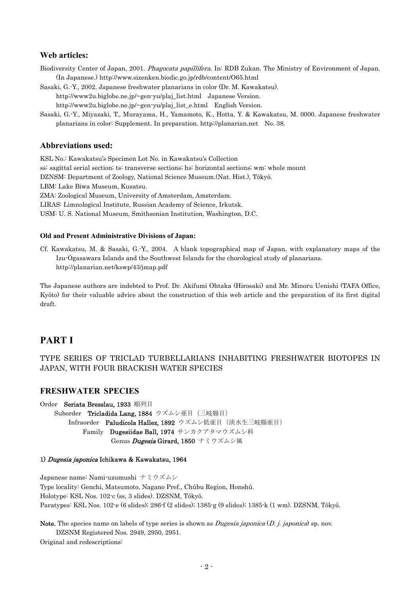## **Web articles:**

- Biodiversity Center of Japan, 2001. Phagocata papillifera. In: RDB Zukan. The Ministry of Environment of Japan. (In Japanese.) http://www.sizenken.biodic.go.jp/rdb/content/O65.html
- Sasaki, G.-Y., 2002. Japanese freshwater planarians in color (Dr. M. Kawakatsu).

http://www2u.biglobe.ne.jp/~gen-yu/plaj\_list.html Japanese Version. http://www2u.biglobe.ne.jp/~gen-yu/plaj\_list\_e.html English Version.

Sasaki, G.-Y., Miyazaki, T., Murayama, H., Yamamoto, K., Hotta, Y. & Kawakatsu, M. 0000. Japanese freshwater planarians in color: Supplement. In preparation. http://planarian.net No. 38.

## **Abbreviations used:**

KSL No.: Kawakatsu's Specimen Lot No. in Kawakatsu's Collection ss: sagittal serial section; ts: transverse sections; hs: horizontal sections; wm: whole mount DZNSM: Department of Zoology, National Science Museum.(Nat. Hist.), Tôkyô. LBM: Lake Biwa Museum, Kusatsu. ZMA: Zoological Museum, University of Amsterdam, Amsterdam. LIRAS: Limnological Institute, Russian Academy of Science, Irkutsk. USM: U. S. National Museum, Smithsonian Institution, Washington, D.C.

### **Old and Present Administrative Divisions of Japan:**

Cf. Kawakatsu, M. & Sasaki, G.-Y., 2004. A blank topographical map of Japan, with explanatory maps of the Izu-Ogasawara Islands and the Southwest Islands for the chorological study of planarians. http://planarian.net/kswp/43/jmap.pdf

The Japanese authors are indebted to Prof. Dr. Akifumi Ohtaka (Hirosaki) and Mr. Minoru Uenishi (TAFA Office, Kyôto) for their valuable advice about the construction of this web article and the preparation of its first digital draft.

## **PART I**

## TYPE SERIES OF TRICLAD TURBELLARIANS INHABITING FRESHWATER BIOTOPES IN JAPAN, WITH FOUR BRACKISH WATER SPECIES

## **FRESHWATER SPECIES**

Order Seriata Bresslau, 1933 順列目 Suborder Tricladida Lang, 1884 ウズムシ亜目(三岐腸目) Infraorder Paludicola Hallez, 1892 ウズムシ低亜目 (淡水生三岐腸亜目) Family Dugesiidae Ball, 1974 サンカクアタマウズムシ科 Genus *Dugesia* Girard, 1850 ナミウズムシ属

## 1) Dugesia japonica Ichikawa & Kawakatsu, 1964

Japanese name: Nami-uzumushi ナミウズムシ Type locality: Genchi, Matsumoto, Nagano Pref., Chûbu Region, Honshû. Holotype: KSL Nos. 102-c (ss, 3 slides). DZSNM, Tôkyô. Paratypes: KSL Nos. 102-e (6 slides); 286-f (2 slides); 1385-g (9 slides); 1385-k (1 wm). DZSNM, Tôkyô.

Note. The species name on labels of type series is shown as *Dugesia japonica* (*D. j. japonica*) sp. nov. DZSNM Registered Nos. 2949, 2950, 2951.

Original and redescriptions: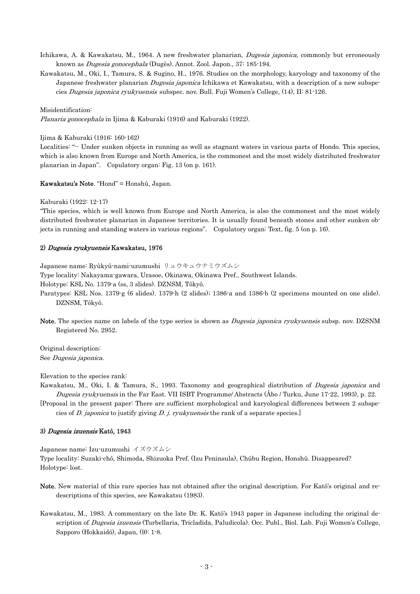- Ichikawa, A. & Kawakatsu, M., 1964. A new freshwater planarian, *Dugesia japonica*, commonly but erroneously known as Dugesia gonocephala (Dugès). Annot. Zool. Japon., 37: 185-194.
- Kawakatsu, M., Oki, I., Tamura, S. & Sugino, H., 1976. Studies on the morphology, karyology and taxonomy of the Japanese freshwater planarian *Dugesia japonica* Ichikawa et Kawakatsu, with a description of a new subspecies Dugesia japonica ryukyuensis subspec. nov. Bull. Fuji Women's College, (14), II: 81-126.

#### Misidentification:

Planaria gonocephala in Ijima & Kaburaki (1916) and Kaburaki (1922).

Ijima & Kaburaki (1916: 160-162)

Localities: "-- Under sunken objects in running as well as stagnant waters in various parts of Hondo. This species, which is also known from Europe and North America, is the commonest and the most widely distributed freshwater planarian in Japan". Copulatory organ: Fig. 13 (on p. 161).

Kawakatsu's Note. "Hond" = Honshû, Japan.

Kaburaki (1922: 12-17)

"This species, which is well known from Europe and North America, is also the commonest and the most widely distributed freshwater planarian in Japanese territories. It is usually found beneath stones and other sunken objects in running and standing waters in various regions". Copulatory organ: Text, fig. 5 (on p. 16).

### 2) Dugesia ryukyuensis Kawakatsu, 1976

Japanese name: Ryûkyû-nami-uzumushi リュウキュウナミウズムシ

Type locality: Nakayama-gawara, Urasoe, Okinawa, Okinawa Pref., Southwest Islands.

Holotype: KSL No. 1379-a (ss, 3 slides). DZNSM, Tôkyô.

Paratypes: KSL Nos. 1379-g (6 slides). 1379-h (2 slides); 1386-a and 1386-b (2 specimens mounted on one slide). DZNSM, Tôkyô.

Note. The species name on labels of the type series is shown as *Dugesia japonica ryukyuensis* subsp. nov. DZSNM Registered No. 2952.

Original description: See Dugesia japonica.

Elevation to the species rank:

Kawakatsu, M., Oki, I. & Tamura, S., 1993. Taxonomy and geographical distribution of *Dugesia japonica* and Dugesia ryukyuensis in the Far East. VII ISBT Programme/ Abstracts (Åbo / Turku, June 17-22, 1993), p. 22.

[Proposal in the present paper: There are sufficient morphological and karyological differences between 2 subspecies of D. japonica to justify giving D. j. ryukyuensis the rank of a separate species.]

#### 3) *Dugesia izuensis* Katô, 1943

Japanese name: Izu-uzumushi イズウズムシ

Type locality: Suzaki-chô, Shimoda, Shizuoka Pref. (Izu Peninsula), Chûbu Region, Honshû. Disappeared? Holotype: lost.

- Note. New material of this rare species has not obtained after the original description. For Katô's original and redescriptions of this species, see Kawakatsu (1983).
- Kawakatsu, M., 1983. A commentary on the late Dr. K. Katô's 1943 paper in Japanese including the original description of *Dugesia izuensis* (Turbellaria, Tricladida, Paludicola). Occ. Publ., Biol. Lab. Fuji Women's College, Sapporo (Hokkaidô), Japan, (9): 1-8.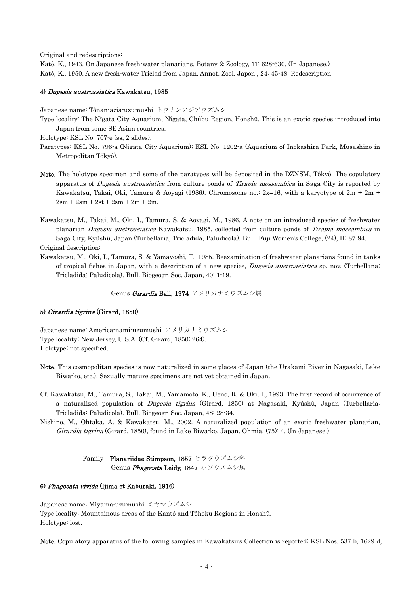Original and redescriptions:

Katô, K., 1943. On Japanese fresh-water planarians. Botany & Zoology, 11: 628-630. (In Japanese.) Katô, K., 1950. A new fresh-water Triclad from Japan. Annot. Zool. Japon., 24: 45-48. Redescription.

### 4) Dugesia austroasiatica Kawakatsu, 1985

Japanese name: Tônan-azia-uzumushi トウナンアジアウズムシ

- Type locality: The Nîgata City Aquarium, Nîgata, Chûbu Region, Honshû. This is an exotic species introduced into Japan from some SE Asian countries.
- Holotype: KSL No. 707-e (ss, 2 slides).
- Paratypes: KSL No. 796-a (Nîgata City Aquarium); KSL No. 1202-a (Aquarium of Inokashira Park, Musashino in Metropolitan Tôkyô).
- apparatus of *Dugesia austroasiatica* from culture ponds of Tirapia mossambica in Saga City is reported by Note. The holotype specimen and some of the paratypes will be deposited in the DZNSM, Tôkyô. The copulatory Kawakatsu, Takai, Oki, Tamura & Aoyagi (1986). Chromosome no.: 2x=16, with a karyotype of 2m + 2m +  $2\text{sm} + 2\text{sm} + 2\text{st} + 2\text{sm} + 2\text{m} + 2\text{m}.$
- planarian *Dugesia austroasiatica* Kawakatsu, 1985, collected from culture ponds of Tirapia mossambica in Kawakatsu, M., Takai, M., Oki, I., Tamura, S. & Aoyagi, M., 1986. A note on an introduced species of freshwater Saga City, Kyûshû, Japan (Turbellaria, Tricladida, Paludicola). Bull. Fuji Women's College, (24), II: 87-94.

Original description:

of tropical fishes in Japan, with a description of a new species, *Dugesia austroasiatica* sp. nov. (Turbellana; Kawakatsu, M., Oki, I., Tamura, S. & Yamayoshi, T., 1985. Reexamination of freshwater planarians found in tanks Tricladida; Paludicola). Bull. Biogeogr. Soc. Japan, 40: 1-19.

Genus *Girardia* Ball, 1974 アメリカナミウズムシ属

#### 5) *Girardia tigrina* (Girard, 1850)

Japanese name: America-nami-uzumushi アメリカナミウズムシ Type locality: New Jersey, U.S.A. (Cf. Girard, 1850: 264). Holotype: not specified.

- Note. This cosmopolitan species is now naturalized in some places of Japan (the Urakami River in Nagasaki, Lake Biwa-ko, etc.). Sexually mature specimens are not yet obtained in Japan.
- 4. Tricladida: Paludicola). Bull. Biogeogr. Soc. Japan, 48: 28-3 Cf. Kawakatsu, M., Tamura, S., Takai, M., Yamamoto, K., Ueno, R. & Oki, I., 1993. The first record of occurrence of a naturalized population of Dugesia tigrina (Girard, 1850) at Nagasaki, Kyûshû, Japan (Turbellaria:
- Girardia tigrina (Girard, 1850), found in Lake Biwa-ko, Japan. Ohmia, (75): 4. (In Japanese.) Nishino, M., Ohtaka, A. & Kawakatsu, M., 2002. A naturalized population of an exotic freshwater planarian,

 Family Planariidae Stimpson, 1857 ヒラタウズムシ科 Genus *Phagocata* Leidy, 1847 ホソウズムシ属

### 6) *Phagocata vivida* (Ijima et Kaburaki, 1916)

Japanese name: Miyama-uzumushi ミヤマウズムシ Type locality: Mountainous areas of the Kantô and Tôhoku Regions in Honshû. Holotype: lost.

Note. Copulatory apparatus of the following samples in Kawakatsu's Collection is reported: KSL Nos. 537-b, 1629-d,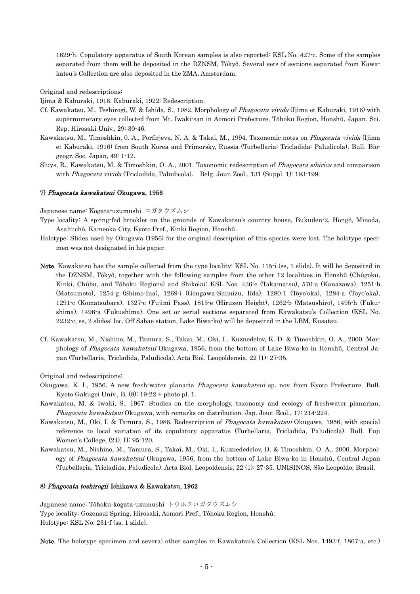1629-h. Copulatory apparatus of South Korean samples is also reported: KSL No. 427-c. Some of the samples separated from them will be deposited in the DZNSM, Tôkyô. Several sets of sections separated from Kawakatsu's Collection are also deposited in the ZMA, Amsterdam.

Original and redescriptions:

Ijima & Kaburaki, 1916. Kaburaki, 1922: Redescription.

- Cf. Kawakatsu, M., Teshirogi, W. & Ishida, S., 1982. Morphology of Phagocata vivida (Ijima et Kaburaki, 1916) with supernumerary eyes collected from Mt. Iwaki-san in Aomori Prefecture, Tôhoku Region, Honshû, Japan. Sci. Rep. Hirosaki Univ., 29: 30-46.
- Kawakatsu, M., Timoshkin, 0. A., Porfirjeva, N. A. & Takai, M., 1994. Taxonomic notes on Phagocata vivida (Ijima et Kaburaki, 1916) from South Korea and Primorsky, Russia (Turbellaria: Tricladida: Paludicola). Bull. Biogeogr. Soc. Japan, 49: 1-12.
- Sluys, R., Kawakatsu, M. & Timoshkin, O. A., 2001. Taxonomic redescription of *Phagocata sibirica* and comparison with Phagocata vivida (Tricladida, Paludicola). Belg. Jour. Zool., 131 (Suppl. 1): 193-199.

### 7) *Phagocata kawakatsui* Okugawa, 1956

Japanese name: Kogata-uzumushi コガタウズムシ

- Type locality: A spring-fed brooklet on the grounds of Kawakatsu's country house, Bukuden-2, Hongô, Minoda, Asahi-chô, Kameoka City, Kyôto Pref., Kinki Region, Honshû.
- Holotype: Slides used by Okugawa (1956) for the original description of this species were lost. The holotype specimen was not designated in his paper.
- Note. Kawakatsu has the sample collected from the type locality: KSL No. 115-i (ss, 1 slide). It will be deposited in the DZNSM, Tôkyô, together with the following samples from the other 12 localities in Honshû (Chûgoku, Kinki, Chûbu, and Tôhoku Regions) and Shikoku: KSL Nos. 436-e (Takamatsu), 570-a (Kanazawa), 1251-b (Matsumoto), 1254-g (Shimo-Ina), 1269-i (Gongawa-Shimizu, Iîda), 1280-1 (Toyo'oka), 1284-a (Toyo'oka), 1291-c (Komatsubara), 1327-c (Fujimi Pass), 1815-e (Hiruzen Height), 1262-b (Matsushiro), 1495-h (Fukushima), 1496-a (Fukushima). One set or serial sections separated from Kawakatsu's Collection (KSL No. 2232-c, ss, 2 slides; loc. Off Sabae station, Lake Biwa-ko) will be deposited in the LBM, Kusatsu.
- Cf. Kawakatsu, M., Nishino, M., Tamura, S., Takai, M., Oki, I., Kuznedelov, K. D. & Timoshkin, O. A., 2000. Morphology of Phagocata kawakatsui Okugawa, 1956, from the bottom of Lake Biwa-ko in Honshû, Central Japan (Turbellaria, Tricladida, Paludicola). Acta Biol. Leopoldensia, 22 (1): 27-35.

Original and redescriptions:

- Okugawa, K. I., 1956. A new fresh-water planaria Phagocata kawakatsui sp. nov. from Kyoto Prefecture. Bull. Kyoto Gakugei Univ., B,  $(8)$ : 19-22 + photo pl. 1.
- Kawakatsu, M. & Iwaki, S., 1967. Studies on the morphology, taxonomy and ecology of freshwater planarian, Phagocata kawakatsui Okugawa, with remarks on distribution. Jap. Jour. Ecol., 17: 214-224.
- Kawakatsu, M., Oki, I. & Tamura, S., 1986. Redescription of *Phagocata kawakatsui* Okugawa, 1956, with special reference to local variation of its copulatory apparatus (Turbellaria, Tricladida, Paludicola). Bull. Fuji Women's College, (24), II: 95-120.
- Kawakatsu, M., Nishino, M., Tamura, S., Takai, M., Oki, I., Kuznededelov, D. & Timoshkin, O. A., 2000. Morphology of Phagocata kawakatsui Okugawa, 1956, from the bottom of Lake Biwa-ko in Honshû, Central Japan (Turbellaria, Tricladida, Paludicola). Acta Biol. Leopoldensis, 22 (1): 27-35. UNISINOS, São Leopoldo, Brasil.

## 8) *Phagocata teshirogii* Ichikawa & Kawakatsu, 1962

Japanese name: Tôhoku-kogata-uzumushi トウホクコガタウズムシ Type locality: Gozensui Spring, Hirosaki, Aomori Pref., Tôhoku Region, Honshû. Holotype: KSL No. 231-f (ss, 1 slide).

Note. The holotype specimen and several other samples in Kawakatsu's Collection (KSL Nos. 1493-f, 1867-a, etc.)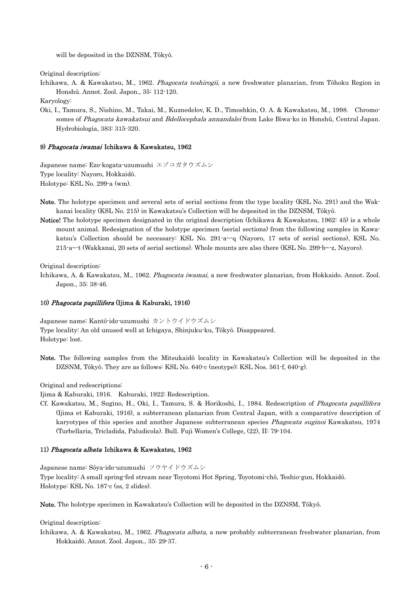will be deposited in the DZNSM, Tôkyô.

Original description:

Ichikawa, A. & Kawakatsu, M., 1962. *Phagocata teshirogii*, a new freshwater planarian, from Tôhoku Region in Honshû. Annot. Zool. Japon., 35: 112-120.

Karyology:

Oki, I., Tamura, S., Nishino, M., Takai, M., Kuznedelov, K. D., Timoshkin, O. A. & Kawakatsu, M., 1998. Chromosomes of Phagocata kawakatsui and Bdellocephala annandalei from Lake Biwa-ko in Honshû, Central Japan. Hydrobiologia, 383: 315-320.

### 9) Phagocata iwamai Ichikawa & Kawakatsu, 1962

Japanese name: Ezo-kogata-uzumushi エゾコガタウズムシ Type locality: Nayoro, Hokkaidô. Holotype: KSL No. 299-a (wm).

- Note. The holotype specimen and several sets of serial sections from the type locality (KSL No. 291) and the Wakkanai locality (KSL No. 215) in Kawakatsu's Collection will be deposited in the DZNSM, Tôkyô.
- Notice! The holotype specimen designated in the original description (Ichikawa & Kawakatsu, 1962: 45) is a whole mount animal. Redesignation of the holotype specimen (serial sections) from the following samples in Kawakatsu's Collection should be necessary: KSL No. 291-a~-q (Nayoro, 17 sets of serial sections), KSL No. 215-a~-t (Wakkanai, 20 sets of serial sections). Whole mounts are also there (KSL No. 299-b~-z, Nayoro).

Original description:

Ichikawa, A. & Kawakatsu, M., 1962. Phagocata iwamai, a new freshwater planarian, from Hokkaido. Annot. Zool. Japon., 35: 38-46.

### 10) Phagocata papillifera (Ijima & Kaburaki, 1916)

Japanese name: Kantô-ido-uzumushi カントウイドウズムシ Type locality: An old unused well at Ichigaya, Shinjuku-ku, Tôkyô. Disappeared. Holotype: lost.

Note. The following samples from the Mitsukaidô locality in Kawakatsu's Collection will be deposited in the DZSNM, Tôkyô. They are as follows: KSL No. 640-c (neotype); KSL Nos. 561-f, 640-g).

Original and redescriptions:

Ijima & Kaburaki, 1916. Kaburaki, 1922: Redescription.

Cf. Kawakatsu, M., Sugino, H., Oki, I., Tamura, S. & Horikoshi, I., 1984. Redescription of *Phagocata papillifera* (Ijima et Kaburaki, 1916), a subterranean planarian from Central Japan, with a comparative description of karyotypes of this species and another Japanese subterranean species *Phagocata suginoi* Kawakatsu, 1974 (Turbellaria, Tricladida, Paludicola). Bull. Fuji Women's College, (22), II: 79-104.

### 11) Phagocata albata Ichikawa & Kawakatsu, 1962

Japanese name: Sôya-ido-uzumushi ソウヤイドウズムシ Type locality: A small spring-fed stream near Toyotomi Hot Spring, Toyotomi-chô, Teshio-gun, Hokkaidô. Holotype: KSL No. 187-c (ss, 2 slides).

Note. The holotype specimen in Kawakatsu's Collection will be deposited in the DZNSM, Tôkyô.

Original description:

Ichikawa, A. & Kawakatsu, M., 1962. Phagocata albata, a new probably subterranean freshwater planarian, from Hokkaidô. Annot. Zool. Japon., 35: 29-37.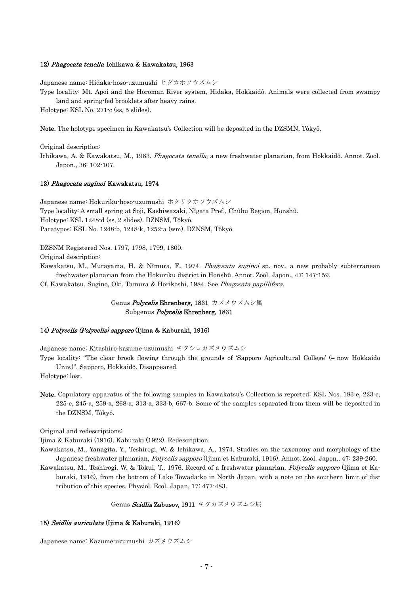### 12) Phagocata tenella Ichikawa & Kawakatsu, 1963

Japanese name: Hidaka-hoso-uzumushi ヒダカホソウズムシ

Type locality: Mt. Apoi and the Horoman River system, Hidaka, Hokkaidô. Animals were collected from swampy land and spring-fed brooklets after heavy rains.

Holotype: KSL No. 271-c (ss, 5 slides).

Note. The holotype specimen in Kawakatsu's Collection will be deposited in the DZSMN, Tôkyô.

Original description:

Ichikawa, A. & Kawakatsu, M., 1963. Phagocata tenella, a new freshwater planarian, from Hokkaidô. Annot. Zool. Japon., 36: 102-107.

### 13) Phagocata suginoi Kawakatsu, 1974

Japanese name: Hokuriku-hoso-uzumushi ホクリクホソウズムシ Type locality: A small spring at Soji, Kashiwazaki, Nîgata Pref., Chûbu Region, Honshû. Holotype: KSL 1248-d (ss, 2 slides). DZNSM, Tôkyô. Paratypes: KSL No. 1248-b, 1248-k, 1252-a (wm). DZNSM, Tôkyô.

DZSNM Registered Nos. 1797, 1798, 1799, 1800.

Original description:

Kawakatsu, M., Murayama, H. & Nîmura, F., 1974. *Phagocata suginoi* sp. nov., a new probably subterranean freshwater planarian from the Hokuriku district in Honshû. Annot. Zool. Japon., 47: 147-159.

Cf. Kawakatsu, Sugino, Oki, Tamura & Horikoshi, 1984. See Phagocata papillifera.

Genus *Polycelis* Ehrenberg, 1831 カズメウズムシ属 Subgenus Polycelis Ehrenberg, 1831

### 14) Polycelis (Polycelis) sapporo (Ijima & Kaburaki, 1916)

Japanese name: Kitashiro-kazume-uzumushi キタシロカズメウズムシ

Type locality: "The clear brook flowing through the grounds of 'Sapporo Agricultural College' (= now Hokkaido Univ.)", Sapporo, Hokkaidô. Disappeared.

Holotype: lost.

Note. Copulatory apparatus of the following samples in Kawakatsu's Collection is reported: KSL Nos. 183-e, 223-c, 225-e, 245-a, 259-a, 268-a, 313-a, 333-b, 667-b. Some of the samples separated from them will be deposited in the DZNSM, Tôkyô.

Original and redescriptions:

Ijima & Kaburaki (1916). Kaburaki (1922). Redescription.

Kawakatsu, M., Yanagita, Y., Teshirogi, W. & Ichikawa, A., 1974. Studies on the taxonomy and morphology of the Japanese freshwater planarian, Polycelis sapporo (Ijima et Kaburaki, 1916). Annot. Zool. Japon., 47: 239-260.

Kawakatsu, M., Teshirogi, W. & Tokui, T., 1976. Record of a freshwater planarian, Polycelis sapporo (Ijima et Kaburaki, 1916), from the bottom of Lake Towada-ko in North Japan, with a note on the southern limit of distribution of this species. Physiol. Ecol. Japan, 17: 477-483.

#### Genus Seidlia Zabusov, 1911 キタカズメウズムシ属

## 15) Seidlia auriculata (Ijima & Kaburaki, 1916)

Japanese name: Kazume-uzumushi カズメウズムシ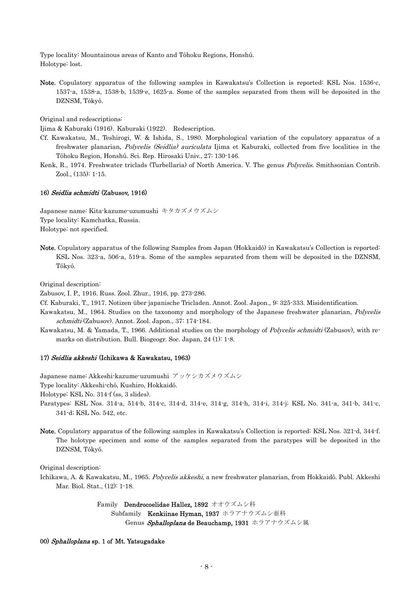Type locality: Mountainous areas of Kanto and Tôhoku Regions, Honshû. Holotype: lost.

Note. Copulatory apparatus of the following samples in Kawakatsu's Collection is reported: KSL Nos. 1536-c, 1537-a, 1538-a, 1538-b, 1539-e, 1625-a. Some of the samples separated from them will be deposited in the DZNSM, Tôkyô.

Original and redescriptions:

Ijima & Kaburaki (1916). Kaburaki (1922). Redescription.

- Cf. Kawakatsu, M., Teshirogi, W. & Ishida, S., 1980. Morphological variation of the copulatory apparatus of a freshwater planarian, *Polycelis (Seidlia) auriculata* Ijima et Kaburaki, collected from five localities in the Tôhoku Region, Honshû. Sci. Rep. Hirosaki Univ., 27: 130-146.
- Kenk, R., 1974. Freshwater triclads (Turbellaria) of North America. V. The genus *Polycelis*. Smithsonian Contrib. Zool., (135): 1-15.

### 16) Seidlia schmidti (Zabusov, 1916)

Japanese name: Kita-kazume-uzumushi キタカズメウズムシ Type locality: Kamchatka, Russia. Holotype: not specified.

Note. Copulatory apparatus of the following Samples from Japan (Hokkaidô) in Kawakatsu's Collection is reported: KSL Nos. 323-a, 506-a, 519-a. Some of the samples separated from them will be deposited in the DZNSM, Tôkyô.

Original description:

Zabusov, I. P., 1916. Russ. Zool. Zhur., 1916, pp. 273-286.

Cf. Kaburaki, T., 1917. Notizen über japanische Tricladen. Annot. Zool. Japon., 9: 325-333. Misidentification.

- Kawakatsu, M., 1964. Studies on the taxonomy and morphology of the Japanese freshwater planarian, Polycelis schmidti (Zabusov). Annot. Zool. Japon., 37: 174-184.
- Kawakatsu, M. & Yamada, T., 1966. Additional studies on the morphology of *Polycelis schmidti* (Zabusov), with remarks on distribution. Bull. Biogeogr. Soc. Japan, 24 (1): 1-8.

### 17) Seidlia akkeshi (Ichikawa & Kawakatsu, 1963)

Japanese name: Akkeshi-kazume-uzumushi アッケシカズメウズムシ

Type locality: Akkeshi-chô, Kushiro, Hokkaidô.

Holotype: KSL No. 314-f (ss, 3 slides).

- Paratypes: KSL Nos. 314-a, 514-b, 314-c, 314-d, 314-e, 314-g, 314-h, 314-i, 314-j; KSL No. 341-a, 341-b, 341-c, 341-d; KSL No. 542, etc.
- Note. Copulatory apparatus of the following samples in Kawakatsu's Collection is reported: KSL Nos. 321-d, 344-f. The holotype specimen and some of the samples separated from the paratypes will be deposited in the DZNSM, Tôkyô.

Original description:

Ichikawa, A. & Kawakatsu, M., 1965. Polycelis akkeshi, a new freshwater planarian, from Hokkaidô. Publ. Akkeshi Mar. Biol. Stat., (12): 1-18.

> Family Dendrocoelidae Hallez, 1892 オオウズムシ科 Subfamily Kenkiinae Hyman, 1937 ホラアナウズムシ亜科 Genus Sphalloplana de Beauchamp, 1931 ホラアナウズムシ属

### 00) Sphalloplana sp. 1 of Mt. Yatsugadake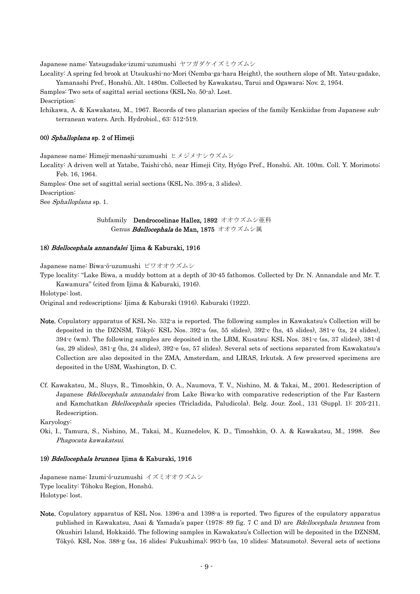Japanese name: Yatsugadake-izumi-uzumushi ヤツガダケイズミウズムシ

Locality: A spring fed brook at Utsukushi-no-Mori (Nemba-ga-hara Height), the southern slope of Mt. Yatsu-gadake, Yamanashi Pref., Honshû. Alt. 1480m. Collected by Kawakatsu, Tarui and Ogawara; Nov. 2, 1954.

Samples: Two sets of sagittal serial sections (KSL No. 50-a). Lost. Description:

Ichikawa, A. & Kawakatsu, M., 1967. Records of two planarian species of the family Kenkiidae from Japanese subterranean waters. Arch. Hydrobiol., 63: 512-519.

### 00) Sphalloplana sp. 2 of Himeji

Japanese name: Himeji-menashi-uzumushi ヒメジメナシウズムシ

Locality: A driven well at Yatabe, Taishi-chô, near Himeji City, Hyôgo Pref., Honshû. Alt. 100m. Coll. Y. Morimoto; Feb. 16, 1964.

Samples: One set of sagittal serial sections (KSL No. 395-a, 3 slides). Description: See Sphalloplana sp. 1.

## Subfamily Dendrocoelinae Hallez, 1892 オオウズムシ亜科 Genus *Bdellocephala* de Man, 1875 オオウズムシ属

### 18) Bdellocephala annandalei Ijima & Kaburaki, 1916

Japanese name: Biwa-ô-uzumushi ビワオオウズムシ

Type locality: "Lake Biwa, a muddy bottom at a depth of 30-45 fathomos. Collected by Dr. N. Annandale and Mr. T. Kawamura" (cited from Ijima & Kaburaki, 1916).

Holotype: lost.

Original and redescriptions: Ijima & Kaburaki (1916). Kaburaki (1922).

- Note. Copulatory apparatus of KSL No. 332-a is reported. The following samples in Kawakatsu's Collection will be deposited in the DZNSM, Tôkyô: KSL Nos. 392-a (ss, 55 slides), 392-c (hs, 45 slides), 381-e (ts, 24 slides), 394-c (wm). The following samples are deposited in the LBM, Kusatsu: KSL Nos. 381-c (ss, 37 slides), 381-d (ss, 29 slides), 381-g (hs, 24 slides), 392-e (ss, 57 slides). Several sets of sections separated from Kawakatsu's Collection are also deposited in the ZMA, Amsterdam, and LIRAS, Irkutsk. A few preserved specimens are deposited in the USM, Washington, D. C.
- Cf. Kawakatsu, M., Sluys, R., Timoshkin, O. A., Naumova, T. V., Nishino, M. & Takai, M., 2001. Redescription of Japanese Bdellocephala annandalei from Lake Biwa-ko with comparative redescription of the Far Eastern and Kamchatkan Bdellocephala species (Tricladida, Paludicola). Belg. Jour. Zool., 131 (Suppl. 1): 205-211. Redescription.

Karyology:

Oki, I., Tamura, S., Nishino, M., Takai, M., Kuznedelov, K. D., Timoshkin, O. A. & Kawakatsu, M., 1998. See Phagocata kawakatsui.

### 19) Bdellocephala brunnea Ijima & Kaburaki, 1916

Japanese name: Izumi-ô-uzumushi イズミオオウズムシ Type locality: Tôhoku Region, Honshû. Holotype: lost.

Note. Copulatory apparatus of KSL Nos. 1396-a and 1398-a is reported. Two figures of the copulatory apparatus published in Kawakatsu, Asai & Yamada's paper (1978: 89 fig. 7 C and D) are *Bdellocephala brunnea* from Okushiri Island, Hokkaidô. The following samples in Kawakatsu's Collection will be deposited in the DZNSM, Tôkyô. KSL Nos. 388-g (ss, 16 slides: Fukushima); 993-b (ss, 10 slides: Matsumoto). Several sets of sections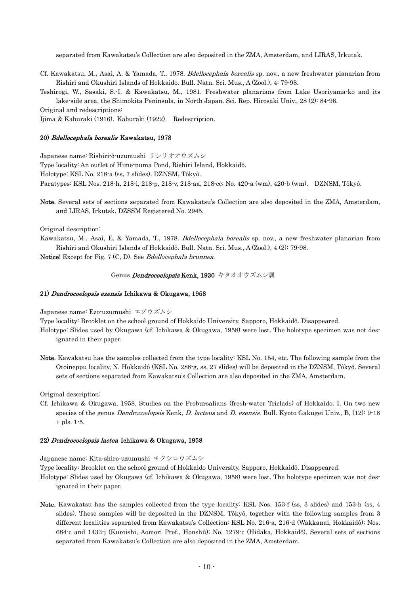separated from Kawakatsu's Collection are also deposited in the ZMA, Amsterdam, and LIRAS, Irkutak.

Cf. Kawakatsu, M., Asai, A. & Yamada, T., 1978. Bdellocephala borealis sp. nov., a new freshwater planarian from Rishiri and Okushiri Islands of Hokkaido. Bull. Natn. Sci. Mus., A (Zool.), 4: 79-98.

Teshirogi, W., Sasaki, S.-I. & Kawakatsu, M., 1981. Freshwater planarians from Lake Usoriyama-ko and its lake-side area, the Shimokita Peninsula, in North Japan. Sci. Rep. Hirosaki Univ., 28 (2): 84-96.

Original and redescriptions:

Ijima & Kaburaki (1916). Kaburaki (1922). Redescription.

#### 20) Bdellocephala borealis Kawakatsu, 1978

Japanese name: Rishiri-ô-uzumushi リシリオオウズムシ Type locality: An outlet of Hime-numa Pond, Rishiri Island, Hokkaidô. Holotype: KSL No. 218-a (ss, 7 slides). DZNSM, Tôkyô. Paratypes: KSL Nos. 218-h, 218-i, 218-p, 218-v, 218-aa, 218-cc; No. 420-a (wm), 420-b (wm). DZNSM, Tôkyô.

Note. Several sets of sections separated from Kawakatsu's Collection are also deposited in the ZMA, Amsterdam, and LIRAS, Irkutsk. DZSSM Registered No. 2945.

Original description:

Kawakatsu, M., Asai, E. & Yamada, T., 1978. Bdellocephala borealis sp. nov., a new freshwater planarian from Rishiri and Okushiri Islands of Hokkaidô. Bull. Natn. Sci. Mus., A (Zool.), 4 (2): 79-98.

Notice! Except for Fig. 7 (C, D). See *Bdellocephala brunnea*.

### Genus *Dendrocoelopsis* Kenk, 1930 キタオオウズムシ属

### 21) Dendrocoelopsis ezensis Ichikawa & Okugawa, 1958

Japanese name: Ezo-uzumushi エゾウズムシ

Type locality: Brooklet on the school ground of Hokkaido University, Sapporo, Hokkaidô. Disappeared.

- Holotype: Slides used by Okugawa (cf. Ichikawa & Okugawa, 1958) were lost. The holotype specimen was not designated in their paper.
- Note. Kawakatsu has the samples collected from the type locality: KSL No. 154, etc. The following sample from the Otoineppu locality, N. Hokkaidô (KSL No. 288-g, ss, 27 slides) will be deposited in the DZNSM, Tôkyô. Several sets of sections separated from Kawakatsu's Collection are also deposited in the ZMA, Amsterdam.

Original description:

Cf. Ichikawa & Okugawa, 1958. Studies on the Probursalians (fresh-water Triclads) of Hokkaido. I. On two new species of the genus *Dendrocoelopsis* Kenk, *D. lacteus* and *D. ezensis*. Bull. Kyoto Gakugei Univ., B, (12): 9-18 + pls. 1-5.

### 22) Dendrocoelopsis lactea Ichikawa & Okugawa, 1958

Japanese name: Kita-shiro-uzumushi キタシロウズムシ

Type locality: Brooklet on the school ground of Hokkaido University, Sapporo, Hokkaidô. Disappeared.

- Holotype: Slides used by Okugawa (cf. Ichikawa & Okugawa, 1958) were lost. The holotype specimen was not designated in their paper.
- Note. Kawakatsu has the samples collected from the type locality: KSL Nos. 153-f (ss, 3 slides) and 153-h (ss, 4 slides). These samples will be deposited in the DZNSM, Tôkyô, together with the following samples from 3 different localities separated from Kawakatsu's Collection: KSL No. 216-a, 216-d (Wakkanai, Hokkaidô); Nos. 684-c and 1433-j (Kuroishi, Aomori Pref., Honshû); No. 1279-c (Hidaka, Hokkaidô). Several sets of sections separated from Kawakatsu's Collection are also deposited in the ZMA, Amsterdam.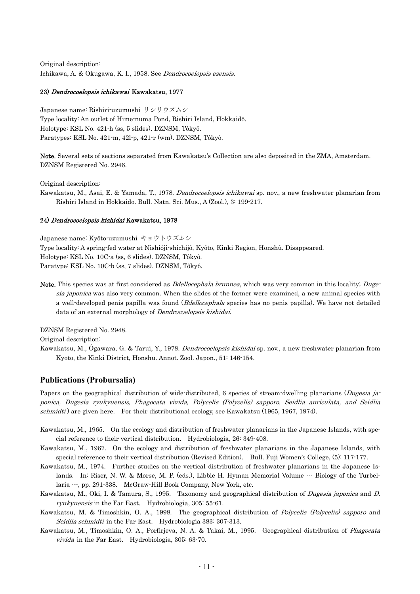Original description: Ichikawa, A. & Okugawa, K. I., 1958. See Dendrocoelopsis ezensis.

### 23) Dendrocoelopsis ichikawai Kawakatsu, 1977

Japanese name: Rishiri-uzumushi リシリウズムシ Type locality: An outlet of Hime-numa Pond, Rishiri Island, Hokkaidô. Holotype: KSL No. 421-h (ss, 5 slides). DZNSM, Tôkyô. Paratypes: KSL No. 421-m, 42l-p, 421-r (wm). DZNSM, Tôkyô.

Note. Several sets of sections separated from Kawakatsu's Collection are also deposited in the ZMA, Amsterdam. DZNSM Registered No. 2946.

Original description:

Kawakatsu, M., Asai, E. & Yamada, T., 1978. Dendrocoelopsis ichikawai sp. nov., a new freshwater planarian from Rishiri Island in Hokkaido. Bull. Natn. Sci. Mus., A (Zool.), 3: 199-217.

### 24) Dendrocoelopsis kishidai Kawakatsu, 1978

Japanese name: Kyôto-uzumushi キョウトウズムシ Type locality: A spring-fed water at Nishiôji-shichijô, Kyôto, Kinki Region, Honshû. Disappeared. Holotype: KSL No. 10C-a (ss, 6 slides). DZNSM, Tôkyô. Paratype: KSL No. 10C-b (ss, 7 slides). DZNSM, Tôkyô.

Note. This species was at first considered as *Bdellocephala brunnea*, which was very common in this locality; Dugesia japonica was also very common. When the slides of the former were examined, a new animal species with a well-developed penis papilla was found (Bdellocephala species has no penis papilla). We have not detailed data of an external morphology of Dendrocoelopsis kishidai.

DZNSM Registered No. 2948.

Original description:

Kawakatsu, M., Ògawara, G. & Tarui, Y., 1978. *Dendrocoelopsis kishidai* sp. nov., a new freshwater planarian from Kyoto, the Kinki District, Honshu. Annot. Zool. Japon., 51: 146-154.

## **Publications (Probursalia)**

ponica, Dugesia ryukyuensis, Phagocata vivida, Polycelis (Polycelis) sapporo, Seidlia auriculata, and Seidlia Papers on the geographical distribution of wide-distributed, 6 species of stream-dwelling planarians (Dugesia jaschmidti) are given here. For their distributional ecology, see Kawakatsu (1965, 1967, 1974).

- Kawakatsu, M., 1965. On the ecology and distribution of freshwater planarians in the Japanese Islands, with special reference to their vertical distribution. Hydrobiologia, 26: 349-408.
- Kawakatsu, M., 1967. On the ecology and distribution of freshwater planarians in the Japanese Islands, with special reference to their vertical distribution (Revised Edition). Bull. Fuji Women's College, (5): 117-177.
- Kawakatsu, M., 1974. Further studies on the vertical distribution of freshwater planarians in the Japanese Islands. In: Riser, N. W. & Morse, M. P. (eds.), Libbie H. Hyman Memorial Volume --- Biology of the Turbellaria  $\cdots$ , pp. 291-338. McGraw-Hill Book Company, New York, etc.
- Kawakatsu, M., Oki, I. & Tamura, S., 1995. Taxonomy and geographical distribution of *Dugesia japonica* and D. ryukyuensis in the Far East. Hydrobiologia, 305: 55-61.
- Kawakatsu, M. & Timoshkin, O. A., 1998. The geographical distribution of Polycelis (Polycelis) sapporo and Seidlia schmidti in the Far East. Hydrobiologia 383: 307-313.
- Kawakatsu, M., Timoshkin, O. A., Porfirjeva, N. A. & Takai, M., 1995. Geographical distribution of Phagocata vivida in the Far East. Hydrobiologia, 305: 63-70.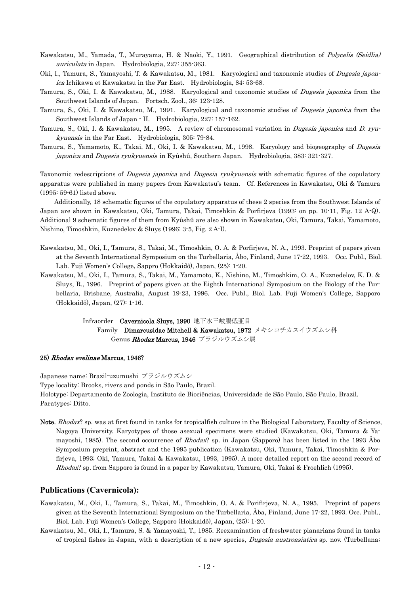Kawakatsu, M., Yamada, T., Murayama, H. & Naoki, Y., 1991. Geographical distribution of Polycelis (Seidlia) auriculata in Japan. Hydrobiologia, 227: 355-363.

Oki, I., Tamura, S., Yamayoshi, T. & Kawakatsu, M., 1981. Karyological and taxonomic studies of *Dugesia japon*ica Ichikawa et Kawakatsu in the Far East. Hydrobiologia, 84: 53-68.

Tamura, S., Oki, I. & Kawakatsu, M., 1988. Karyological and taxonomic studies of *Dugesia japonica* from the Southwest Islands of Japan. Fortsch. Zool., 36: 123-128.

Tamura, S., Oki, I. & Kawakatsu, M., 1991. Karyological and taxonomic studies of *Dugesia japonica* from the Southwest Islands of Japan - II. Hydrobiologia, 227: 157-162.

- Tamura, S., Oki, I. & Kawakatsu, M., 1995. A review of chromosomal variation in *Dugesia japonica* and D. ryukyuensis in the Far East. Hydrobiologia, 305: 79-84.
- Tamura, S., Yamamoto, K., Takai, M., Oki, I. & Kawakatsu, M., 1998. Karyology and biogeography of *Dugesia* japonica and Dugesia ryukyuensis in Kyûshû, Southern Japan. Hydrobiologia, 383: 321-327.

Taxonomic redescriptions of *Dugesia japonica* and *Dugesia ryukyuensis* with schematic figures of the copulatory apparatus were published in many papers from Kawakatsu's team. Cf. References in Kawakatsu, Oki & Tamura (1995: 59-61) listed above.

Additionally, 18 schematic figures of the copulatory apparatus of these 2 species from the Southwest Islands of Japan are shown in Kawakatsu, Oki, Tamura, Takai, Timoshkin & Porfirjeva (1993: on pp. 10-11, Fig. 12 A-Q). Additional 9 schematic figures of them from Kyûshû are also shown in Kawakatsu, Oki, Tamura, Takai, Yamamoto, Nishino, Timoshkin, Kuznedelov & Sluys (1996: 3-5, Fig. 2 A-I).

- Kawakatsu, M., Oki, I., Tamura, S., Takai, M., Timoshkin, O. A. & Porfirjeva, N. A., 1993. Preprint of papers given at the Seventh International Symposium on the Turbellaria, Åbo, Finland, June 17-22, 1993. Occ. Publ., Biol. Lab. Fuji Women's College, Sappro (Hokkaidô), Japan, (25): 1-20.
- Kawakatsu, M., Oki, I., Tamura, S., Takai, M., Yamamoto, K., Nishino, M., Timoshkim, O. A., Kuznedelov, K. D. & Sluys, R., 1996. Preprint of papers given at the Eighth International Symposium on the Biology of the Turbellaria, Brisbane, Australia, August 19-23, 1996. Occ. Publ., Biol. Lab. Fuji Women's College, Sapporo (Hokkaidô), Japan, (27): 1-16.

Infraorder Cavernicola Sluvs. 1990 地下水三岐腸低亜目 Family Dimarcusidae Mitchell & Kawakatsu, 1972 メキシコチカスイウズムシ科 Genus Rhodax Marcus, 1946 ブラジルウズムシ属

### 25) Rhodax evelinae Marcus, 1946?

Japanese name: Brazil-uzumushi ブラジルウズムシ

Type locality: Brooks, rivers and ponds in São Paulo, Brazil. Holotype: Departamento de Zoologia, Instituto de Biociências, Universidade de São Paulo, São Paulo, Brazil. Paratypes: Ditto.

Note. Rhodax? sp. was at first found in tanks for tropicalfish culture in the Biological Laboratory, Faculty of Science, Nagoya University. Karyotypes of those asexual specimens were studied (Kawakatsu, Oki, Tamura & Yamayoshi, 1985). The second occurrence of *Rhodax*? sp. in Japan (Sapporo) has been listed in the 1993 Åbo Symposium preprint, abstract and the 1995 publication (Kawakatsu, Oki, Tamura, Takai, Timoshkin & Porfirjeva, 1993; Oki, Tamura, Takai & Kawakatsu, 1993, 1995). A more detailed report on the second record of Rhodax? sp. from Sapporo is found in a paper by Kawakatsu, Tamura, Oki, Takai & Froehlich (1995).

## **Publications (Cavernicola):**

- Kawakatsu, M., Oki, I., Tamura, S., Takai, M., Timoshkin, O. A. & Porifirjeva, N. A., 1995. Preprint of papers given at the Seventh International Symposium on the Turbellaria, Åba, Finland, June 17-22, 1993. Occ. Publ., Biol. Lab. Fuji Women's College, Sapporo (Hokkaidô), Japan, (25): 1-20.
- of tropical fishes in Japan, with a description of a new species, *Dugesia austroasiatica* sp. nov. (Turbellana; Kawakatsu, M., Oki, I., Tamura, S. & Yamayoshi, T., 1985. Reexamination of freshwater planarians found in tanks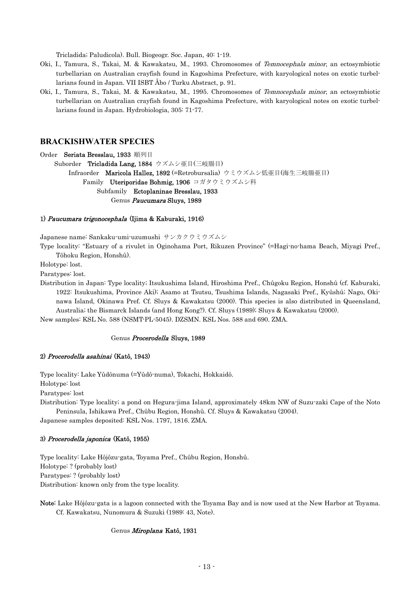Tricladida; Paludicola). Bull. Biogeogr. Soc. Japan, 40: 1-19.

- Oki, I., Tamura, S., Takai, M. & Kawakatsu, M., 1993. Chromosomes of Temnocephala minor, an ectosymbiotic turbellarian on Australian crayfish found in Kagoshima Prefecture, with karyological notes on exotic turbellarians found in Japan. VII ISBT Åbo / Turku Abstract, p. 91.
- Oki, I., Tamura, S., Takai, M. & Kawakatsu, M., 1995. Chromosomes of Temnocephala minor, an ectosymbiotic turbellarian on Australian crayfish found in Kagoshima Prefecture, with karyological notes on exotic turbellarians found in Japan. Hydrobiologia, 305: 71-77.

### **BRACKISHWATER SPECIES**

#### Order Seriata Bresslau, 1933 順列目

Suborder Tricladida Lang, 1884 ウズムシ亜目(三岐腸目) Infraorder Maricola Hallez, 1892 (=Retrobursalia) ウミウズムシ低亜目(海生三岐腸亜目) Family Uteriporidae Bohmig, 1906 コガタウミウズムシ科 Subfamily Ectoplaninae Bresslau, 1933 Genus Paucumara Sluys, 1989

### 1) Paucumara trigonocephala (Ijima & Kaburaki, 1916)

Japanese name: Sankaku-umi-uzumushi サンカクウミウズムシ

Type locality: "Estuary of a rivulet in Oginohama Port, Rikuzen Province" (=Hagi-no-hama Beach, Miyagi Pref., Tôhoku Region, Honshû).

Holotype: lost.

Paratypes: lost.

Distribution in Japan: Type locality; Itsukushima Island, Hiroshima Pref., Chûgoku Region, Honshû (cf. Kaburaki, 1922: Itsukushima, Province Aki); Asamo at Tsutsu, Tsushima Islands, Nagasaki Pref., Kyûshû; Nago, Okinawa Island, Okinawa Pref. Cf. Sluys & Kawakatsu (2000). This species is also distributed in Queensland, Australia; the Bismarck Islands (and Hong Kong?). Cf. Sluys (1989); Sluys & Kawakatsu (2000).

New samples: KSL No. 588 (NSMT-PL-5045). DZSMN. KSL Nos. 588 and 690. ZMA.

### Genus Procerodella Sluys, 1989

### 2) Procerodella asahinai (Katô, 1943)

Type locality: Lake Yûdônuma (=Yûdô-numa), Tokachi, Hokkaidô.

Holotype: lost

Paratypes: lost

Distribution: Type locality; a pond on Hegura-jima Island, approximately 48km NW of Suzu-zaki Cape of the Noto Peninsula, Ishikawa Pref., Chûbu Region, Honshû. Cf. Sluys & Kawakatsu (2004).

Japanese samples deposited: KSL Nos. 1797, 1816. ZMA.

#### 3) Procerodella japonica (Katô, 1955)

Type locality: Lake Hôjôzu-gata, Toyama Pref., Chûbu Region, Honshû. Holotype: ? (probably lost) Paratypes: ? (probably lost) Distribution: known only from the type locality.

Note: Lake Hôjôzu-gata is a lagoon connected with the Toyama Bay and is now used at the New Harbor at Toyama. Cf. Kawakatsu, Nunomura & Suzuki (1989: 43, Note).

### Genus Miroplana Katô, 1931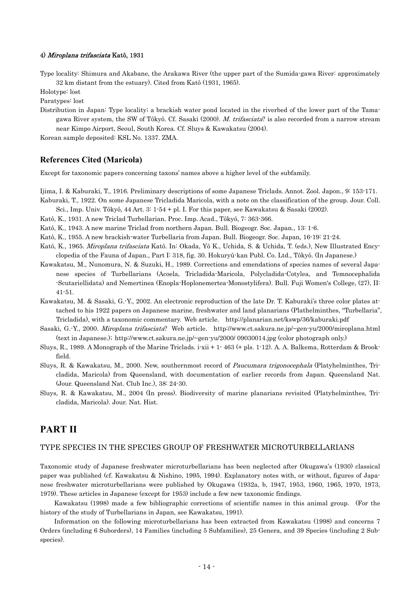### 4) Miroplana trifasciata Katô, 1931

Type locality: Shimura and Akabane, the Arakawa River (the upper part of the Sumida-gawa River: approximately 32 km distant from the estuary). Cited from Katô (1931, 1965).

Holotype: lost

Paratypes: lost

gawa River system, the SW of Tôkyô. Cf. Sasaki (2000). *M. trifasciata*? is also recorded from a narrow stream Distribution in Japan: Type locality; a brackish water pond located in the riverbed of the lower part of the Tamanear Kimpo Airport, Seoul, South Korea. Cf. Sluys & Kawakatsu (2004).

Korean sample deposited: KSL No. 1337. ZMA.

## **References Cited (Maricola)**

Except for taxonomic papers concerning taxons' names above a higher level of the subfamily.

- Ijima, I. & Kaburaki, T., 1916. Preliminary descriptions of some Japanese Triclads. Annot. Zool. Japon., 9: 153-171.
- Kaburaki, T., 1922. On some Japanese Tricladida Maricola, with a note on the classification of the group. Jour. Coll. Sci., Imp. Univ. Tôkyô, 44 Art. 3: 1-54 + pl. I. For this paper, see Kawakatsu & Sasaki (2002).
- 
- Katô, K., 1931. A new Triclad Turbellarian. Proc. Imp. Acad., Tôkyô, 7: 363-366.
- Katô, K., 1943. A new marine Triclad from northern Japan. Bull. Biogeogr. Soc. Japan., 13: 1-6.
- Katô, K., 1955. A new brackish-water Turbellaria from Japan. Bull. Biogeogr. Soc. Japan, 16-19: 21-24.
- Katô, K., 1965. *Miroplana trifasciata* Katô. In: Okada, Yô K., Uchida, S. & Uchida, T. (eds.), New Illustrated Encyclopedia of the Fauna of Japan., Part I: 318, fig. 30. Hokuryû-kan Publ. Co. Ltd., Tôkyô. (In Japanese.)
- Kawakatsu, M., Nunomura, N. & Suzuki, H., 1989. Corrections and emendations of species names of several Japanese species of Turbellarians (Acoela, Tricladida-Maricola, Polycladida-Cotylea, and Temnocephalida -Scutariellidata) and Nemertinea (Enopla-Hoplonemertea-Monostylifera). Bull. Fuji Women's College, (27), II: 41-51.
- Kawakatsu, M. & Sasaki, G.-Y., 2002. An electronic reproduction of the late Dr. T. Kaburaki's three color plates attached to his 1922 papers on Japanese marine, freshwater and land planarians (Plathelminthes, "Turbellaria", Tricladida), with a taxonomic commentary. Web article. http://planarian.net/kswp/36/kaburaki.pdf
- Sasaki, G.-Y., 2000. Miroplana trifasciata? Web article. http://www.ct.sakura.ne.jp/~gen-yu/2000/miroplana.html (text in Japanese.); http://www.ct.sakura.ne.jp/~gen-yu/2000/ 09030014.jpg (color photograph only.)
- Sluys, R., 1989. A Monograph of the Marine Triclads. i-xii + 1- 463 (+ pls. 1-12). A. A. Balkema, Rotterdam & Brookfield.
- Sluys, R. & Kawakatsu, M., 2000. New, southernmost record of Paucumara trigonocephala (Platyhelminthes, Tricladida, Maricola) from Queensland, with documentation of earlier records from Japan. Queensland Nat. (Jour. Queensland Nat. Club Inc.), 38: 24-30.
- Sluys, R. & Kawakatsu, M., 2004 (In press). Biodiversity of marine planarians revisited (Platyhelminthes, Tricladida, Maricola). Jour. Nat. Hist.

## **PART II**

### TYPE SPECIES IN THE SPECIES GROUP OF FRESHWATER MICROTURBELLARIANS

Taxonomic study of Japanese freshwater microturbellarians has been neglected after Okugawa's (1930) classical paper was published (cf. Kawakatsu & Nishino, 1995, 1994). Explanatory notes with, or without, figures of Japanese freshwater microturbellarians were published by Okugawa (1932a, b, 1947, 1953, 1960, 1965, 1970, 1973, 1979). These articles in Japanese (except for 1953) include a few new taxonomic findings.

Kawakatsu (1998) made a few bibliographic corrections of scientific names in this animal group. (For the history of the study of Turbellarians in Japan, see Kawakatsu, 1991).

Information on the following microturbellarians has been extracted from Kawakatsu (1998) and concerns 7 Orders (including 6 Suborders), 14 Families (including 5 Subfamilies), 25 Genera, and 39 Species (including 2 Subspecies).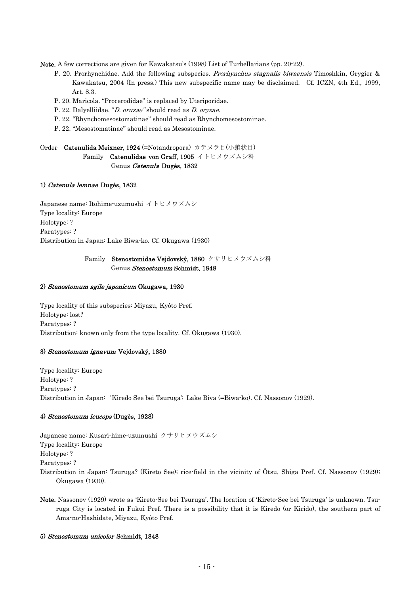Note. A few corrections are given for Kawakatsu's (1998) List of Turbellarians (pp. 20-22).

- P. 20. Prorhynchidae. Add the following subspecies. *Prorhynchus stagnalis biwaensis* Timoshkin, Grygier & Kawakatsu, 2004 (In press.) This new subspecific name may be disclaimed. Cf. ICZN, 4th Ed., 1999, Art. 8.3.
- P. 20. Maricola. "Procerodidae" is replaced by Uteriporidae.
- P. 22. Dalyelliidae. "D. oruzae" should read as D. oryzae.
- P. 22. "Rhynchomesostomatinae" should read as Rhynchomesostominae.
- P. 22. "Mesostomatinae" should read as Mesostominae.

Order Catenulida Meixner, 1924 (=Notandropora) カテヌラ目(小鎖状目)

Family Catenulidae von Graff, 1905 イトヒメウズムシ科 Genus Catenula Dugès, 1832

## 1) Catenula lemnae Dugès, 1832

Japanese name: Itohime-uzumushi イトヒメウズムシ Type locality: Europe Holotype: ? Paratypes: ? Distribution in Japan: Lake Biwa-ko. Cf. Okugawa (1930)

## Genus Stenostomum Schmidt, 1848 Family Stenostomidae Vejdovský, 1880 クサリヒメウズムシ科

### 2) Stenostomum agile japonicum Okugawa, 1930

Type locality of this subspecies: Miyazu, Kyôto Pref. Holotype: lost? Paratypes: ? Distribution: known only from the type locality. Cf. Okugawa (1930).

## 3) *Stenostomum ignavum* Vejdovský, 1880

Type locality: Europe Holotype: ? Paratypes: ? Distribution in Japan:'Kiredo See bei Tsuruga'; Lake Biva (=Biwa-ko). Cf. Nassonov (1929).

## 4) Stenostomum leucops (Dugès, 1928)

Japanese name: Kusari-hime-uzumushi クサリヒメウズムシ Type locality: Europe Holotype: ? Paratypes: ? Distribution in Japan: Tsuruga? (Kireto See); rice-field in the vicinity of Ôtsu, Shiga Pref. Cf. Nassonov (1929); Okugawa (1930).

Note. Nassonov (1929) wrote as 'Kireto-See bei Tsuruga'. The location of 'Kireto-See bei Tsuruga' is unknown. Tsuruga City is located in Fukui Pref. There is a possibility that it is Kiredo (or Kirido), the southern part of Ama-no-Hashidate, Miyazu, Kyôto Pref.

## 5) Stenostomum unicolor Schmidt, 1848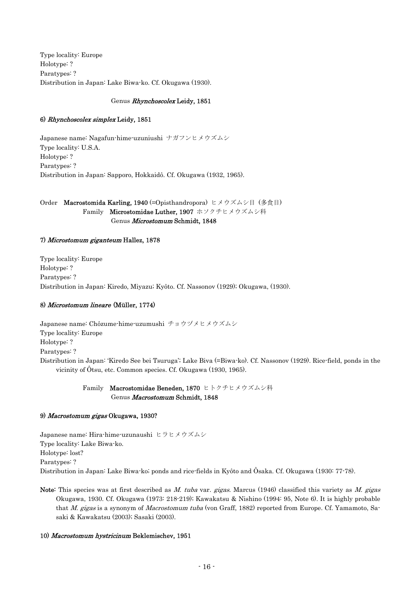Type locality: Europe Holotype: ? Paratypes: ? Distribution in Japan: Lake Biwa-ko. Cf. Okugawa (1930).

## Genus Rhynchoscolex Leidy, 1851

## 6) Rhynchoscolex simplex Leidy, 1851

Japanese name: Nagafun-hime-uzuniushi ナガフンヒメウズムシ Type locality: U.S.A. Holotype: ? Paratypes: ? Distribution in Japan: Sapporo, Hokkaidô. Cf. Okugawa (1932, 1965).

Order Macrostomida Karling, 1940 (=Opisthandropora) ヒメウズムシ目 (多食目) Family Microstomidae Luther, 1907 ホソクチヒメウズムシ科 Genus Microstomum Schmidt, 1848

## 7) Microstomum giganteum Hallez, 1878

Type locality: Europe Holotype: ? Paratypes: ? Distribution in Japan: Kiredo, Miyazu; Kyôto. Cf. Nassonov (1929); Okugawa, (1930).

## 8) Microstomum lineare (Müller, 1774)

Japanese name: Chôzume-hime-uzumushi チョウヅメヒメウズムシ Type locality: Europe Holotype: ? Paratypes: ? Distribution in Japan: 'Kiredo See bei Tsuruga'; Lake Biva (=Biwa-ko). Cf. Nassonov (1929). Rice-field, ponds in the vicinity of Ôtsu, etc. Common species. Cf. Okugawa (1930, 1965).

> Genus Macrostomum Schmidt, 1848 Family Macrostomidae Beneden, 1870 ヒトクチヒメウズムシ科

## 9) *Macrostomum gigas* Okugawa, 1930?

Japanese name: Hira-hime-uzunaushi ヒラヒメウズムシ Type locality: Lake Biwa-ko. Holotype: lost? Paratypes: ? Distribution in Japan: Lake Biwa-ko; ponds and rice-fields in Kyôto and Ôsaka. Cf. Okugawa (1930: 77-78).

that *M. gigas* is a synonym of *Macrostomum tuba* (von Graff, 1882) reported from Europe. Cf. Yamamoto, Sa-Note: This species was at first described as M. tuba var. gigas. Marcus (1946) classified this variety as M. gigas Okugawa, 1930. Cf. Okugawa (1973: 218-219); Kawakatsu & Nishino (1994: 95, Note 6). It is highly probable saki & Kawakatsu (2003); Sasaki (2003).

## 10) Macrostomum hystricinum Beklemischev, 1951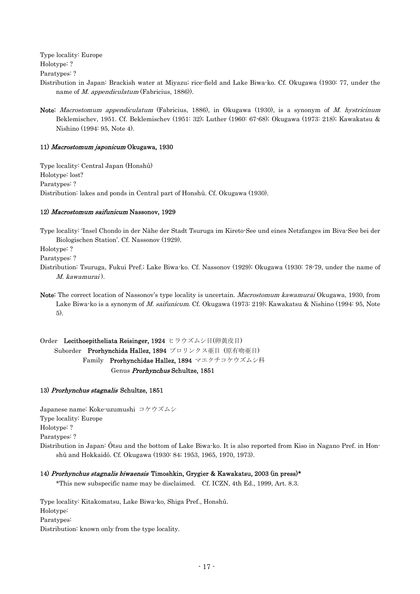Type locality: Europe

Holotype: ?

Paratypes: ?

- Distribution in Japan: Brackish water at Miyazu; rice-field and Lake Biwa-ko. Cf. Okugawa (1930: 77, under the name of *M. appendiculatum* (Fabricius, 1886)).
- Note: *Macrostomum appendiculatum* (Fabricius, 1886), in Okugawa (1930), is a synonym of *M. hystricinum* Beklemischev, 1951. Cf. Beklemischev (1951: 32); Luther (1960: 67-68); Okugawa (1973: 218); Kawakatsu & Nishino (1994: 95, Note 4).

## 11) Macrostomum japonicum Okugawa, 1930

Type locality: Central Japan (Honshû) Holotype: lost? Paratypes: ? Distribution: lakes and ponds in Central part of Honshû. Cf. Okugawa (1930).

## 12) Macrostomum saifunicum Nassonov, 1929

Type locality: 'Insel Chondo in der Nähe der Stadt Tsuruga im Kireto-See und eines Netzfanges im Biva-See bei der Biologischen Station'. Cf. Nassonov (1929).

Holotype: ?

Paratypes: ?

- Distribution: Tsuruga, Fukui Pref.; Lake Biwa-ko. Cf. Nassonov (1929); Okugawa (1930: 78-79, under the name of M. kawamurai ).
- Note: The correct location of Nassonov's type locality is uncertain. *Macrostomum kawamurai* Okugawa, 1930, from Lake Biwa-ko is a synonym of M. saifunicum. Cf. Okugawa (1973: 219); Kawakatsu & Nishino (1994: 95, Note 5).

Order Lecithoepitheliata Reisinger, 1924 ヒラウズムシ目(卵黄皮目) Suborder Prorhynchida Hallez, 1894 プロリンクス亜目 (原有吻亜目) Family Prorhynchidae Hallez, 1894 マエクチコケウズムシ科 Genus Prorhynchus Schultze, 1851

## 13) Prorhynchus stagnalis Schultze, 1851

Japanese name: Koke-uzumushi コケウズムシ Type locality: Europe Holotype: ? Paratypes: ? Distribution in Japan: Ôtsu and the bottom of Lake Biwa-ko. It is also reported from Kiso in Nagano Pref. in Honshû and Hokkaidô. Cf. Okugawa (1930: 84; 1953, 1965, 1970, 1973).

## 14) Prorhynchus stagnalis biwaensis Timoshkin, Grygier & Kawakatsu, 2003 (in press)\*

\*This new subspecific name may be disclaimed. Cf. ICZN, 4th Ed., 1999, Art. 8.3.

Type locality: Kitakomatsu, Lake Biwa-ko, Shiga Pref., Honshû. Holotype: Paratypes: Distribution: known only from the type locality.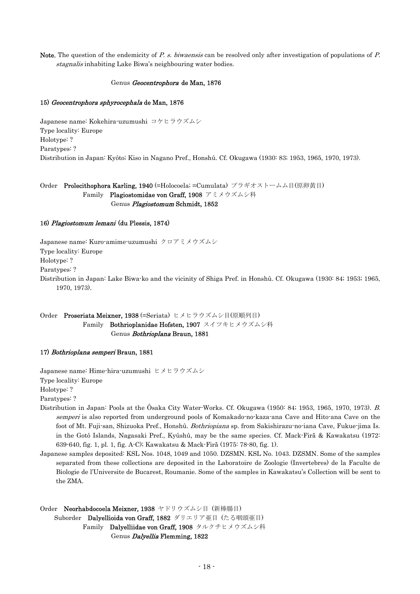Note. The question of the endemicity of P. s. biwaensis can be resolved only after investigation of populations of P. stagnalis inhabiting Lake Biwa's neighbouring water bodies.

### Genus Geocentrophora de Man, 1876

### 15) Geocentrophora sphyrocephala de Man, 1876

Japanese name: Kokehira-uzumushi コケヒラウズムシ Type locality: Europe Holotype: ? Paratypes: ? Distribution in Japan: Kyôto; Kiso in Nagano Pref., Honshû. Cf. Okugawa (1930: 83; 1953, 1965, 1970, 1973).

Genus Plagiostomum Schmidt, 1852 Order Prolecithophora Karling, 1940 (=Holocoela; =Cumulata) プラギオストームム目(原卵黄目) Family Plagiostomidae von Graff, 1908 アミメウズムシ科

### 16) *Plagiostomum lemani* (du Plessis, 1874)

Japanese name: Kuro-amime-uzumushi クロアミメウズムシ Type locality: Europe Holotype: ? Paratypes: ? Distribution in Japan: Lake Biwa-ko and the vicinity of Shiga Pref. in Honshû. Cf. Okugawa (1930: 84; 1953; 1965, 1970, 1973).

## Order Proseriata Meixner, 1938 (=Seriata) ヒメヒラウズムシ目(原順列目) Family Bothrioplanidae Hofsten, 1907 スイツキヒメウズムシ科 Genus Bothrioplana Braun, 1881

### 17) Bothrioplana semperi Braun, 1881

Japanese name: Hime-hira-uzumushi ヒメヒラウズムシ Type locality: Europe

Holotype: ?

Paratypes: ?

- Distribution in Japan: Pools at the Ôsaka City Water-Works. Cf. Okugawa (1950: 84; 1953, 1965, 1970, 1973). B. semperi is also reported from underground pools of Komakado-no-kaza-ana Cave and Hito-ana Cave on the foot of Mt. Fuji-san, Shizuoka Pref., Honshû. Bothriopiana sp. from Sakishirazu-no-iana Cave, Fukue-jima Is. in the Gotô Islands, Nagasaki Pref., Kyûshû, may be the same species. Cf. Mack-Firă & Kawakatsu (1972: 639-640, fig. 1, pl. 1, fig. A-C); Kawakatsu & Mack-Firă (1975: 78-80, fig. 1).
- Japanese samples deposited: KSL Nos. 1048, 1049 and 1050. DZSMN. KSL No. 1043. DZSMN. Some of the samples separated from these collections are deposited in the Laboratoire de Zoologie (Invertebres) de la Faculte de Biologie de l'Universite de Bucarest, Roumanie. Some of the samples in Kawakatsu's Collection will be sent to the ZMA.

## Order Neorhabdocoela Meixner, 1938 ヤドリウズムシ目 (新棒腸目) Suborder Dalyellioida von Graff, 1882 ダリエリア亜目 (たる咽頭亜目) Family Dalyelliidae von Graff, 1908 タルクチヒメウズムシ科 Genus Dalyellia Flemming, 1822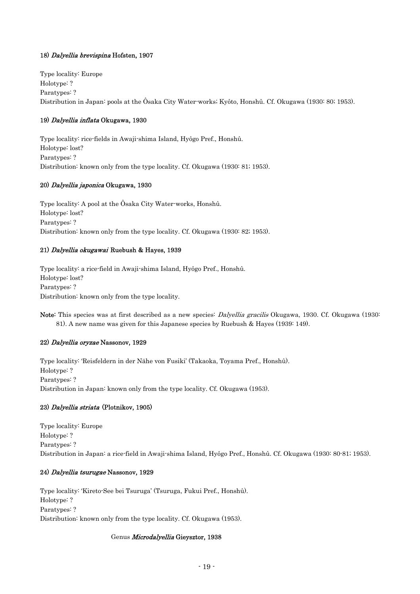## 18) Dalyellia brevispina Hofsten, 1907

Type locality: Europe Holotype: ? Paratypes: ? Distribution in Japan: pools at the Ôsaka City Water-works; Kyôto, Honshû. Cf. Okugawa (1930: 80; 1953).

## 19) *Dalyellia inflata* Okugawa, 1930

Type locality: rice-fields in Awaji-shima Island, Hyôgo Pref., Honshû. Holotype: lost? Paratypes: ? Distribution: known only from the type locality. Cf. Okugawa (1930: 81; 1953).

## 20) Dalyellia japonica Okugawa, 1930

Type locality: A pool at the Ôsaka City Water-works, Honshû. Holotype: lost? Paratypes: ? Distribution: known only from the type locality. Cf. Okugawa (1930: 82; 1953).

## 21) *Dalyellia okugawai* Ruebush & Hayes, 1939

Type locality: a rice-field in Awaji-shima Island, Hyôgo Pref., Honshû. Holotype: lost? Paratypes: ? Distribution: known only from the type locality.

Note: This species was at first described as a new species: *Dalyellia gracilis* Okugawa, 1930. Cf. Okugawa (1930: 81). A new name was given for this Japanese species by Ruebush & Hayes (1939: 149).

## 22) *Dalyellia oryzae* Nassonov, 1929

Type locality: 'Reisfeldern in der Nähe von Fusiki' (Takaoka, Toyama Pref., Honshû). Holotype: ? Paratypes: ? Distribution in Japan: known only from the type locality. Cf. Okugawa (1953).

## 23) *Dalyellia striata* (Plotnikov, 1905)

Type locality: Europe Holotype: ? Paratypes: ? Distribution in Japan: a rice-field in Awaji-shima Island, Hyôgo Pref., Honshû. Cf. Okugawa (1930: 80-81; 1953).

## 24) Dalyellia tsurugae Nassonov, 1929

Type locality: 'Kireto-See bei Tsuruga' (Tsuruga, Fukui Pref., Honshû). Holotype: ? Paratypes: ? Distribution: known only from the type locality. Cf. Okugawa (1953).

## Genus Microdalyellia Gieysztor, 1938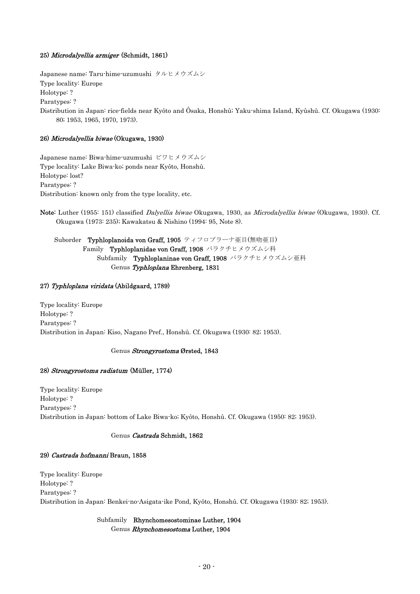## 25) Microdalyellia armiger (Schmidt, 1861)

Japanese name: Taru-hime-uzumushi タルヒメウズムシ Type locality: Europe Holotype: ? Paratypes: ? Distribution in Japan: rice-fields near Kyôto and Ôsaka, Honshû; Yaku-shima Island, Kyûshû. Cf. Okugawa (1930: 80; 1953, 1965, 1970, 1973).

## 26) Microdalyellia biwae (Okugawa, 1930)

Japanese name: Biwa-hime-uzumushi ビワヒメウズムシ Type locality: Lake Biwa-ko; ponds near Kyôto, Honshû. Holotype: lost? Paratypes: ? Distribution: known only from the type locality, etc.

Note: Luther (1955: 151) classified Dalyellia biwae Okugawa, 1930, as Microdalyellia biwae (Okugawa, 1930). Cf. Okugawa (1973: 235); Kawakatsu & Nishino (1994: 95, Note 8).

Suborder Typhloplanoida von Graff, 1905 ティフロプラーナ亜目(無吻亜目) Family Typhloplanidae von Graff, 1908 バラクチヒメウズムシ科 Subfamily Typhloplaninae von Graff, 1908 バラクチヒメウズムシ亜科 Genus Typhloplana Ehrenberg, 1831

## 27) Typhloplana viridata (Abildgaard, 1789)

Type locality: Europe Holotype: ? Paratypes: ? Distribution in Japan: Kiso, Nagano Pref., Honshû. Cf. Okugawa (1930: 82; 1953).

## Genus *Strongyrostoma* Ørsted, 1843

## 28) Strongyrostoma radiatum (Müller, 1774)

Type locality: Europe Holotype: ? Paratypes: ? Distribution in Japan: bottom of Lake Biwa-ko; Kyôto, Honshû. Cf. Okugawa (1950: 82; 1953).

## Genus Castrada Schmidt, 1862

## 29) *Castrada hofmanni* Braun, 1858

Type locality: Europe Holotype: ? Paratypes: ? Distribution in Japan: Benkei-no-Asigata-ike Pond, Kyôto, Honshû. Cf. Okugawa (1930: 82; 1953).

## Subfamily Rhynchomesostominae Luther, 1904 Genus Rhynchomesostoma Luther, 1904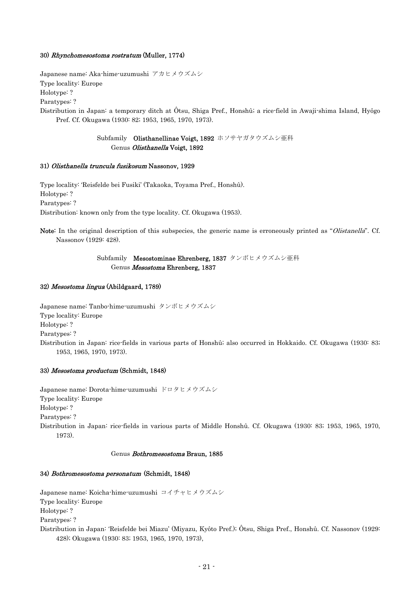### 30) Rhynchomesostoma rostratum (Muller, 1774)

Japanese name: Aka-hime-uzumushi アカヒメウズムシ Type locality: Europe Holotype: ?

Paratypes: ?

Distribution in Japan: a temporary ditch at Ôtsu, Shiga Pref., Honshû; a rice-field in Awaji-shima Island, Hyôgo Pref. Cf. Okugawa (1930: 82; 1953, 1965, 1970, 1973).

> Subfamily Olisthanellinae Voigt, 1892 ホソサヤガタウズムシ亜科 Genus Olisthanella Voigt, 1892

### 31) Olisthanella truncula fusikosum Nassonov, 1929

Type locality: 'Reisfelde bei Fusiki' (Takaoka, Toyama Pref., Honshû). Holotype: ? Paratypes: ? Distribution: known only from the type locality. Cf. Okugawa (1953).

Note: In the original description of this subspecies, the generic name is erroneously printed as "Olistanella". Cf. Nassonov (1929: 428).

## Subfamily Mesostominae Ehrenberg, 1837 タンボヒメウズムシ亜科 Genus Mesostoma Ehrenberg, 1837

### 32) *Mesostoma lingua* (Abildgaard, 1789)

Japanese name: Tanbo-hime-uzumushi タンボヒメウズムシ Type locality: Europe Holotype: ? Paratypes: ? Distribution in Japan: rice-fields in various parts of Honshû; also occurred in Hokkaido. Cf. Okugawa (1930: 83; 1953, 1965, 1970, 1973).

## 33) Mesostoma productum (Schmidt, 1848)

Japanese name: Dorota-hime-uzumushi ドロタヒメウズムシ Type locality: Europe Holotype: ? Paratypes: ? Distribution in Japan: rice-fields in various parts of Middle Honshû. Cf. Okugawa (1930: 83; 1953, 1965, 1970, 1973).

### Genus Bothromesostoma Braun, 1885

## 34) Bothromesostoma personatum (Schmidt, 1848)

Japanese name: Koicha-hime-uzumushi コイチャヒメウズムシ Type locality: Europe Holotype: ? Paratypes: ? Distribution in Japan: 'Reisfelde bei Miazu' (Miyazu, Kyôto Pref.); Ôtsu, Shiga Pref., Honshû. Cf. Nassonov (1929: 428); Okugawa (1930: 83; 1953, 1965, 1970, 1973),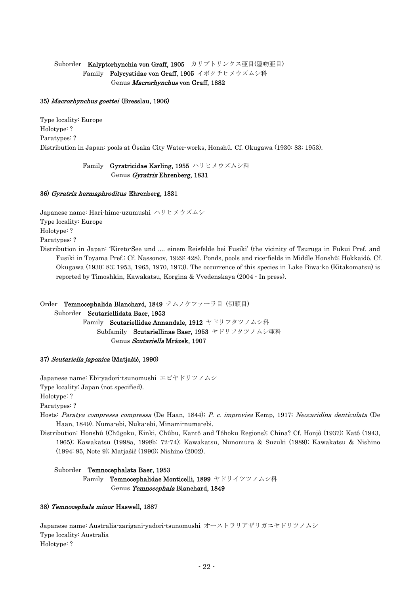## Suborder Kalyptorhynchia von Graff, 1905 カリプトリンクス亜目(隠吻亜目) Family Polycystidae von Graff, 1905 イボクチヒメウズムシ科 Genus Macrorhynchus von Graff, 1882

### 35) Macrorhynchus goettei (Bresslau, 1906)

Type locality: Europe Holotype: ? Paratypes: ? Distribution in Japan: pools at Ôsaka City Water-works, Honshû. Cf. Okugawa (1930: 83; 1953).

> Family Gyratricidae Karling, 1955 ハリヒメウズムシ科 Genus Gyratrix Ehrenberg, 1831

### 36) Gyratrix hermaphroditus Ehrenberg, 1831

Japanese name: Hari-hime-uzumushi ハリヒメウズムシ Type locality: Europe Holotype: ? Paratypes: ?

Distribution in Japan: 'Kireto-See und .... einem Reisfelde bei Fusiki' (the vicinity of Tsuruga in Fukui Pref. and Fusiki in Toyama Pref.; Cf. Nassonov, 1929: 428). Ponds, pools and rice-fields in Middle Honshû; Hokkaidô. Cf. Okugawa (1930: 83; 1953, 1965, 1970, 1973). The occurrence of this species in Lake Biwa-ko (Kitakomatsu) is reported by Timoshkin, Kawakatsu, Korgina & Vvedenskaya (2004 - In press).

# Order Temnocephalida Blanchard, 1849 テムノケファーラ目 (切頭目)

Suborder Scutariellidata Baer, 1953

Family Scutariellidae Annandale, 1912 ヤドリフタツノムシ科 Subfamily Scutariellinae Baer, 1953 ヤドリフタツノムシ亜科 Genus Scutariella Mrázek, 1907

## 37) *Scutariella japonica* (Matjašič, 1990)

Japanese name: Ebi-yadori-tsunomushi エビヤドリツノムシ Type locality: Japan (not specified). Holotype: ? Paratypes: ?

- Hosts: Paratya compressa compressa (De Haan, 1844); P. c. improvisa Kemp, 1917; Neocaridina denticulata (De Haan, 1849). Numa-ebi, Nuka-ebi, Minami-numa-ebi.
- Distribution: Honshû (Chûgoku, Kinki, Chûbu, Kantô and Tôhoku Regions); China? Cf. Honjô (1937); Katô (1943, 1965); Kawakatsu (1998a, 1998b: 72-74); Kawakatsu, Nunomura & Suzuki (1989); Kawakatsu & Nishino (1994: 95, Note 9); Matjašič (1990); Nishino (2002).

Suborder Temnocephalata Baer, 1953

Family Temnocephalidae Monticelli, 1899 ヤドリイツツノムシ科 Genus Temnocephala Blanchard, 1849

## 38) Temnocephala minor Haswell, 1887

Japanese name: Australia-zarigani-yadori-tsunomushi オーストラリアザリガニヤドリツノムシ Type locality: Australia Holotype: ?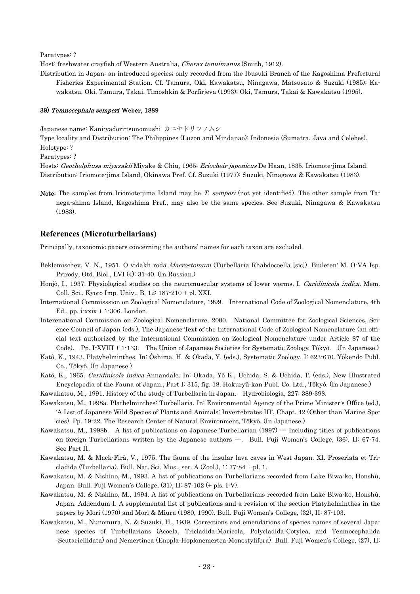Paratypes: ?

Host: freshwater crayfish of Western Australia, Cherax tenuimanus (Smith, 1912).

Distribution in Japan: an introduced species; only recorded from the Ibusuki Branch of the Kagoshima Prefectural Fisheries Experimental Station. Cf. Tamura, Oki, Kawakatsu, Ninagawa, Matsusato & Suzuki (1985); Kawakatsu, Oki, Tamura, Takai, Timoshkin & Porfirjeva (1993); Oki, Tamura, Takai & Kawakatsu (1995).

### 39) Temnocephala semperi Weber, 1889

Japanese name: Kani-yadori-tsunomushi カニヤドリツノムシ

Type locality and Distribution: The Philippines (Luzon and Mindanao); Indonesia (Sumatra, Java and Celebes). Holotype: ?

Paratypes: ?

Hosts: Geothelphusa miyazakii Miyake & Chiu, 1965; Eriocheir japonicus De Haan, 1835. Iriomote-jima Island. Distribution: Iriomote-jima Island, Okinawa Pref. Cf. Suzuki (1977); Suzuki, Ninagawa & Kawakatsu (1983).

Note: The samples from Iriomote-jima Island may be T. semperi (not yet identified). The other sample from Tanega-shima Island, Kagoshima Pref., may also be the same species. See Suzuki, Ninagawa & Kawakatsu (1983).

## **References (Microturbellarians)**

Principally, taxonomic papers concerning the authors' names for each taxon are excluded.

- Beklemischev, V. N., 1951. O vidakh roda *Macrostomum* (Turbellaria Rhabdocoella [sic]). Biuleten' M. O-VA Isp. Prirody, Otd. Biol., LVI (4): 31-40. (In Russian.)
- Honjô, I., 1937. Physiological studies on the neuromuscular systems of lower worms. I. Caridinicola indica. Mem. Coll. Sci., Kyoto Imp. Univ., B, 12: 187-210 + pl. XXI.
- International Commisssion on Zoological Nomenclature, 1999. International Code of Zoological Nomenclature, 4th Ed., pp. i-xxix + 1-306. London.
- Interenational Commission on Zoological Nomenclature, 2000. National Committee for Zoological Sciences, Science Council of Japan (eds.), The Japanese Text of the International Code of Zoological Nomenclature (an official text authorized by the International Commission on Zoological Nomenclature under Article 87 of the Code). Pp. I-XVIII + 1-133. The Union of Japanese Societies for Systematic Zoology, Tôkyô. (In Japanese.)
- Katô, K., 1943. Platyhelminthes. In: Ôshima, H. & Okada, Y. (eds.), Systematic Zoology, I: 623-670. Yôkendo Publ. Co., Tôkyô. (In Japanese.)
- Katô, K., 1965. Caridinicola indica Annandale. In: Okada, Yô K., Uchida, S. & Uchida, T. (eds.), New Illustrated Encyclopedia of the Fauna of Japan., Part I: 315, fig. 18. Hokuryû-kan Publ. Co. Ltd., Tôkyô. (In Japanese.)

Kawakatsu, M., 1991. History of the study of Turbellaria in Japan. Hydrobiologia, 227: 389-398.

- Kawakatsu, M., 1998a. Plathelminthes: Turbellaria. In: Environmental Agency of the Prime Minister's Office (ed.), 'A List of Japanese Wild Species of Plants and Animals: Invertebrates III', Chapt. 42 (Other than Marine Species). Pp. 19-22. The Research Center of Natural Environment, Tôkyô. (In Japanese.)
- Kawakatsu, M., 1998b. A list of publications on Japanese Turbellarian (1997) --- Including titles of publications on foreign Turbellarians written by the Japanese authors  $\cdots$ . Bull. Fuji Women's College, (36), II: 67-74. See Part II.
- Kawakatsu, M. & Mack-Firă, V., 1975. The fauna of the insular lava caves in West Japan. XI. Proseriata et Tricladida (Turbellaria). Bull. Nat. Sci. Mus., ser. A (Zool.), 1: 77-84 + pl. 1.
- Kawakatsu, M. & Nishino, M., 1993. A list of publications on Turbellarians recorded from Lake Biwa-ko, Honshû, Japan. Bull. Fuji Women's College, (31), II: 87-102 (+ pls. I-V).
- Kawakatsu, M. & Nishino, M., 1994. A list of publications on Turbellarians recorded from Lake Biwa-ko, Honshû, Japan. Addendum I. A supplemental list of publications and a revision of the section Platyhelminthes in the papers by Mori (1970) and Mori & Miura (1980, 1990). Bull. Fuji Women's College, (32), II: 87-103.
- Kawakatsu, M., Nunomura, N. & Suzuki, H., 1939. Corrections and emendations of species names of several Japanese species of Turbellarians (Acoela, Tricladida-Maricola, Polycladida-Cotylea, and Temnocephalida -Scutariellidata) and Nemertinea (Enopla-Hoplonemertea-Monostylifera). Bull. Fuji Women's College, (27), II: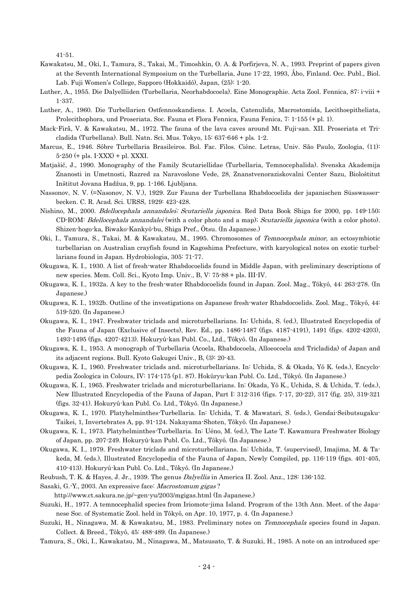41-51.

- Kawakatsu, M., Oki, I., Tamura, S., Takai, M., Timoshkin, O. A. & Porfirjeva, N. A., 1993. Preprint of papers given at the Seventh International Symposium on the Turbellaria, June 17-22, 1993, Åbo, Finland. Occ. Publ., Biol. Lab. Fuji Women's College, Sapporo (Hokkaidô), Japan, (25): 1-20.
- Luther, A., 1955. Die Dalyelliiden (Turbellaria, Neorhabdocoela). Eine Monographie. Acta Zool. Fennica, 87: i-viii + 1-337.
- Luther, A., 1960. Die Turbellarien Ostfennoskandiens. I. Acoela, Catenulida, Macrostomida, Lecithoepitheliata, Prolecithophora, und Proseriata. Soc. Fauna et Flora Fennica, Fauna Fenica, 7: 1-155 (+ pl. 1).
- Mack-Firă, V. & Kawakatsu, M., 1972. The fauna of the lava caves around Mt. Fuji-san. XII. Proseriata et Tricladida (Turbellana). Bull. Natn. Sci. Mus. Tokyo, 15: 637-646 + pls. 1-2.
- Marcus, E., 1946. Sôbre Turbellaria Brasileiros. Bol. Fac. Filos. Ciênc. Letras, Univ. São Paulo, Zoologia, (11): 5-250 (+ pls. I-XXX) + pl. XXXI.
- Matjašič, J., 1990. Monography of the Family Scutariellidae (Turbellaria, Temnocephalida). Svenska Akademija Znanosti in Umetnosti, Razred za Naravoslone Vede, 28, Znanstvenoraziskovalni Center Sazu, Biološtitut Inštitut Jovana Hadžua, 9, pp. 1-166. Ljubljana.
- Nassonov, N. V. (=Nasonov, N. V.), 1929. Zur Fauna der Turbellana Rhabdocoelida der japanischen Süsswasserbecken. C. R. Acad. Sci. URSS, 1929: 423-428.
- Nishino, M., 2000. *Bdellocephala annandalei; Scutariella japonica*. Red Data Book Shiga for 2000, pp. 149-150; CD-ROM: Bdellocephala annandalei (with a color photo and a map); Scutariella japonica (with a color photo). Shizen-hogo-ka, Biwako-Kankyô-bu, Shiga Pref., Ôtsu. (In Japanese.)
- Oki, I., Tamura, S., Takai, M. & Kawakatsu, M., 1995. Chromosomes of Temnocephala minor, an ectosymbiotic turbellarian on Australian crayfish found in Kagoshima Prefecture, with karyological notes on exotic turbellarians found in Japan. Hydrobiologia, 305: 71-77.
- Okugawa, K. I., 1930. A list of fresh-water Rhabdocoelids found in Middle Japan, with preliminary descriptions of new species. Mem. Coll. Sci., Kyoto Imp. Univ., B, V: 75-88 + pls. III-IV.
- Okugawa, K. I., 1932a. A key to the fresh-water Rhabdocoelids found in Japan. Zool. Mag., Tôkyô, 44: 263-278. (In Japanese.)
- Okugawa, K. I., 1932b. Outline of the investigations on Japanese fresh-water Rhabdocoelids. Zool. Mag., Tôkyô, 44: 519-520. (In Japanese.)
- Okugawa, K. I., 1947. Freshwater triclads and microturbellarians. In: Uchida, S. (ed.), Illustrated Encyclopedia of the Fauna of Japan (Exclusive of Insects), Rev. Ed., pp. 1486-1487 (figs. 4187-4191), 1491 (figs. 4202-4203), 1493-1495 (figs. 4207-4213). Hokuryû-kan Publ. Co., Ltd., Tôkyô. (In Japanese.)
- Okugawa, K. I., 1953. A monograph of Turbellaria (Acoela, Rhabdocoela, Alloeocoela and Tricladida) of Japan and its adjacent regions. Bull. Kyoto Gakugei Univ., B, (3): 20-43.
- Okugawa, K. I., 1960. Freshwater triclads and. microturbellarians. In: Uchida, S. & Okada, Yô K. (eds.), Encyclopedia Zoologica in Colours, IV: 174-175 (p1. 87). Hokûryu-kan Publ. Co. Ltd., Tôkyô. (In Japanese.)
- Okugawa, K. I., 1965. Freshwater triclads and microturbellarians. In: Okada, Yô K., Uchida, S. & Uchida, T. (eds.), New Illustrated Encyclopedia of the Fauna of Japan, Part I: 312-316 (figs. 7-17, 20-22), 317 (fig. 25), 319-321 (figs. 32-41). Hokuryû-kan Publ. Co. Ltd., Tôkyô. (In Japanese.)
- Okugawa, K. I., 1970. Platyhelminthes-Turbellaria. In: Uchida, T. & Mawatari, S. (eds.), Gendai-Seibutsugaku-Taikei, 1, Invertebrates A, pp. 91-124. Nakayama-Shoten, Tôkyô. (In Japanese.)
- Okugawa, K. I., 1973. Platyhelminthes-Turbellaria. In: Uéno, M. (ed.), The Late T. Kawamura Freshwater Biology of Japan, pp. 207-249. Hokuryû-kan Publ. Co. Ltd., Tôkyô. (In Japanese.)
- Okugawa, K. I., 1979. Freshwater triclads and microturbellarians. In: Uchida, T. (supervised), Imajima, M. & Takeda, M. (eds.), Illustrated Encyclopedia of the Fauna of Japan, Newly Compiled, pp. 116-119 (figs. 401-405, 410-413). Hokuryû-kan Publ. Co. Ltd., Tôkyô. (In Japanese.)
- Reubush, T. K. & Hayes, J. Jr., 1939. The genus Dalyellia in America II. Zool. Anz., 128: 136-152.
- Sasaki, G.-Y., 2003. An expressive face: Macrostomum gigas?
	- http://www.ct.sakura.ne.jp/~gen-yu/2003/mgigas.html (In Japanese.)
- Suzuki, H., 1977. A temnocephalid species from Iriomote-jima Island. Program of the 13th Ann. Meet. of the Japanese Soc. of Systematic Zool. held in Tôkyô, on Apr. 10, 1977, p. 4. (In Japanese.)
- Suzuki, H., Ninagawa, M. & Kawakatsu, M., 1983. Preliminary notes on *Temnocephala* species found in Japan. Collect. & Breed., Tôkyô, 45: 488-489. (In Japanese.)
- Tamura, S., Oki, I., Kawakatsu, M., Ninagawa, M., Matsusato, T. & Suzuki, H., 1985. A note on an introduced spe-